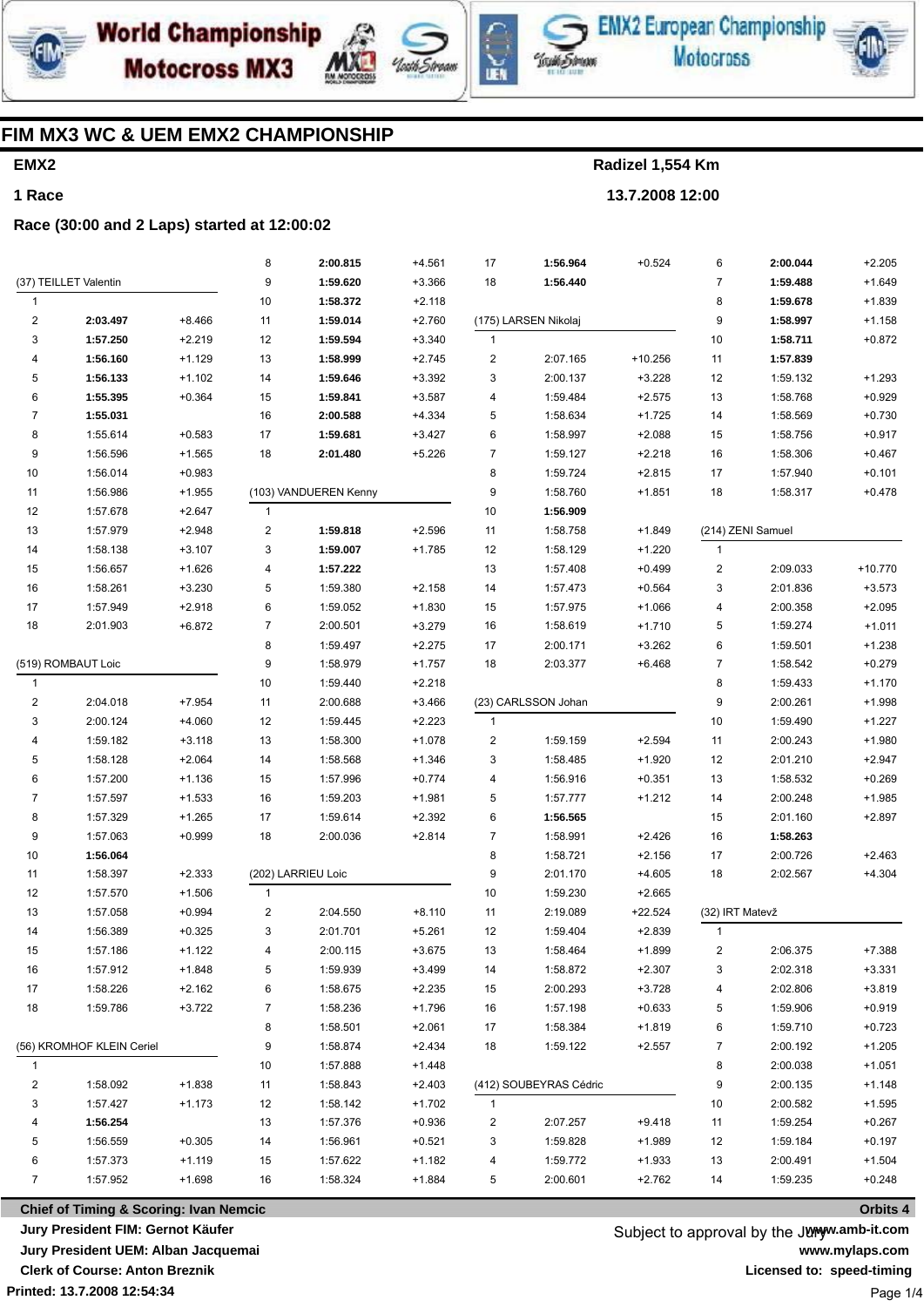





**EMX2 European Championship Motocross** 



### FIM MX3 WC & UEM EMX2 CHAMPIONSHIP

# EMX<sub>2</sub> 1 Race

Radizel 1,554 Km 13.7.2008 12:00

#### Race (30:00 and 2 Laps) started at 12:00:02

|                         |                           |          | 8              | 2:00.815              | $+4.561$ | 17                      | 1:56.964               | $+0.524$       | 6               | 2:00.044          | $+2.205$  |
|-------------------------|---------------------------|----------|----------------|-----------------------|----------|-------------------------|------------------------|----------------|-----------------|-------------------|-----------|
|                         | (37) TEILLET Valentin     |          | 9              | 1:59.620              | $+3.366$ | 18                      | 1:56.440               |                | $\overline{7}$  | 1:59.488          | $+1.649$  |
| 1                       |                           |          | 10             | 1:58.372              | $+2.118$ |                         |                        |                | 8               | 1:59.678          | $+1.839$  |
| $\overline{\mathbf{c}}$ | 2:03.497                  | $+8.466$ | 11             | 1:59.014              | $+2.760$ |                         | (175) LARSEN Nikolaj   |                | 9               | 1:58.997          | $+1.158$  |
| 3                       | 1:57.250                  | $+2.219$ | 12             | 1:59.594              | $+3.340$ | $\mathbf{1}$            |                        |                | 10              | 1:58.711          | $+0.872$  |
| 4                       | 1:56.160                  | $+1.129$ | 13             | 1:58.999              | $+2.745$ | $\overline{\mathbf{c}}$ | 2:07.165               | $+10.256$      | 11              | 1:57.839          |           |
| 5                       | 1:56.133                  | $+1.102$ | 14             | 1:59.646              | $+3.392$ | 3                       | 2:00.137               | $+3.228$       | 12              | 1:59.132          | $+1.293$  |
| 6                       | 1:55.395                  | $+0.364$ | 15             | 1:59.841              | $+3.587$ | 4                       | 1:59.484               | $+2.575$       | 13              | 1:58.768          | $+0.929$  |
| $\overline{7}$          | 1:55.031                  |          | 16             | 2:00.588              | $+4.334$ | 5                       | 1:58.634               | $+1.725$       | 14              | 1:58.569          | $+0.730$  |
| 8                       | 1:55.614                  | $+0.583$ | 17             | 1:59.681              | $+3.427$ | 6                       | 1:58.997               | $+2.088$       | 15              | 1:58.756          | $+0.917$  |
| 9                       | 1:56.596                  | $+1.565$ | 18             | 2:01.480              | $+5.226$ | $\overline{7}$          | 1:59.127               | $+2.218$       | 16              | 1:58.306          | $+0.467$  |
| 10                      | 1:56.014                  | $+0.983$ |                |                       |          | 8                       | 1:59.724               | $+2.815$       | 17              | 1:57.940          | $+0.101$  |
| 11                      | 1:56.986                  | $+1.955$ |                | (103) VANDUEREN Kenny |          | 9                       | 1:58.760               | $+1.851$       | 18              | 1:58.317          | $+0.478$  |
| $12\,$                  | 1:57.678                  | $+2.647$ | $\mathbf{1}$   |                       |          | 10                      | 1:56.909               |                |                 |                   |           |
| 13                      | 1:57.979                  | $+2.948$ | $\sqrt{2}$     | 1:59.818              | $+2.596$ | 11                      | 1:58.758               | $+1.849$       |                 | (214) ZENI Samuel |           |
| 14                      | 1:58.138                  | $+3.107$ | 3              | 1:59.007              | $+1.785$ | 12                      | 1:58.129               | $+1.220$       | $\mathbf{1}$    |                   |           |
| 15                      | 1:56.657                  | $+1.626$ | 4              | 1:57.222              |          | 13                      | 1:57.408               | $+0.499$       | $\overline{c}$  | 2:09.033          | $+10.770$ |
| 16                      | 1:58.261                  | $+3.230$ | 5              | 1:59.380              | $+2.158$ | 14                      | 1:57.473               | $+0.564$       | 3               | 2:01.836          | $+3.573$  |
| 17                      | 1:57.949                  | $+2.918$ | 6              | 1:59.052              | $+1.830$ | 15                      | 1:57.975               | $+1.066$       | 4               | 2:00.358          | $+2.095$  |
| 18                      | 2:01.903                  | $+6.872$ | $\overline{7}$ | 2:00.501              | $+3.279$ | 16                      | 1:58.619               | $+1.710$       | 5               | 1:59.274          | $+1.011$  |
|                         |                           |          | 8              | 1:59.497              | $+2.275$ | 17                      | 2:00.171               | $+3.262$       | 6               | 1:59.501          | $+1.238$  |
| (519) ROMBAUT Loic      |                           | 9        | 1:58.979       | $+1.757$              | 18       | 2:03.377                | $+6.468$               | $\overline{7}$ | 1:58.542        | $+0.279$          |           |
| 1                       |                           |          | 10             | 1:59.440              | $+2.218$ |                         |                        |                | 8               | 1:59.433          | $+1.170$  |
| $\overline{\mathbf{c}}$ | 2:04.018                  | $+7.954$ | 11             | 2:00.688              | $+3.466$ |                         | (23) CARLSSON Johan    |                | 9               | 2:00.261          | $+1.998$  |
| 3                       | 2:00.124                  | $+4.060$ | 12             | 1:59.445              | $+2.223$ | $\mathbf{1}$            |                        |                | $10$            | 1:59.490          | $+1.227$  |
| 4                       | 1:59.182                  | $+3.118$ | 13             | 1:58.300              | $+1.078$ | 2                       | 1:59.159               | $+2.594$       | 11              | 2:00.243          | $+1.980$  |
| 5                       | 1:58.128                  | $+2.064$ | 14             | 1:58.568              | $+1.346$ | 3                       | 1:58.485               | $+1.920$       | 12              | 2:01.210          | $+2.947$  |
| 6                       | 1:57.200                  | $+1.136$ | 15             | 1:57.996              | $+0.774$ | 4                       | 1:56.916               | $+0.351$       | 13              | 1:58.532          | $+0.269$  |
| $\overline{7}$          | 1:57.597                  | $+1.533$ | 16             | 1:59.203              | $+1.981$ | 5                       | 1:57.777               | $+1.212$       | 14              | 2:00.248          | $+1.985$  |
| 8                       | 1:57.329                  | $+1.265$ | 17             | 1:59.614              | $+2.392$ | 6                       | 1:56.565               |                | 15              | 2:01.160          | $+2.897$  |
| 9                       | 1:57.063                  | $+0.999$ | 18             | 2:00.036              | $+2.814$ | 7                       | 1:58.991               | $+2.426$       | 16              | 1:58.263          |           |
| 10                      | 1:56.064                  |          |                |                       |          | 8                       | 1:58.721               | $+2.156$       | 17              | 2:00.726          | $+2.463$  |
| 11                      | 1:58.397                  | $+2.333$ |                | (202) LARRIEU Loic    |          | 9                       | 2:01.170               | $+4.605$       | 18              | 2:02.567          | $+4.304$  |
| 12                      | 1:57.570                  | $+1.506$ | $\mathbf{1}$   |                       |          | 10                      | 1:59.230               | $+2.665$       |                 |                   |           |
| 13                      | 1:57.058                  | $+0.994$ | $\overline{c}$ | 2:04.550              | $+8.110$ | 11                      | 2:19.089               | +22.524        | (32) IRT Matevž |                   |           |
| 14                      | 1:56.389                  | $+0.325$ | 3              | 2:01.701              | $+5.261$ | 12                      | 1:59.404               | $+2.839$       | $\mathbf{1}$    |                   |           |
| 15                      | 1:57.186                  | $+1.122$ | 4              | 2:00.115              | $+3.675$ | 13                      | 1:58.464               | $+1.899$       | 2               | 2:06.375          | $+7.388$  |
| 16                      | 1:57.912                  | $+1.848$ | 5              | 1:59.939              | $+3.499$ | 14                      | 1:58.872               | $+2.307$       | 3               | 2:02.318          | $+3.331$  |
| 17                      | 1:58.226                  | $+2.162$ | 6              | 1:58.675              | $+2.235$ | 15                      | 2:00.293               | $+3.728$       | 4               | 2:02.806          | $+3.819$  |
| 18                      | 1:59.786                  | $+3.722$ | 7              | 1:58.236              | $+1.796$ | 16                      | 1:57.198               | $+0.633$       | 5               | 1:59.906          | $+0.919$  |
|                         |                           |          | 8              | 1:58.501              | $+2.061$ | 17                      | 1:58.384               | $+1.819$       | 6               | 1:59.710          | $+0.723$  |
|                         | (56) KROMHOF KLEIN Ceriel |          | 9              | 1:58.874              | $+2.434$ | 18                      | 1:59.122               | $+2.557$       | 7               | 2:00.192          | $+1.205$  |
| $\mathbf{1}$            |                           |          | 10             | 1:57.888              | $+1.448$ |                         |                        |                | 8               | 2:00.038          | $+1.051$  |
| 2                       | 1:58.092                  | $+1.838$ | 11             | 1:58.843              | $+2.403$ |                         | (412) SOUBEYRAS Cédric |                | 9               | 2:00.135          | $+1.148$  |
|                         |                           |          |                |                       |          |                         |                        |                |                 |                   |           |
| 3                       | 1:57.427                  | $+1.173$ | 12             | 1:58.142              | $+1.702$ | $\mathbf{1}$            |                        |                | 10              | 2:00.582          | $+1.595$  |
| 4                       | 1:56.254                  |          | 13             | 1:57.376              | $+0.936$ | 2                       | 2:07.257               | $+9.418$       | 11              | 1:59.254          | $+0.267$  |
| 5                       | 1:56.559                  | $+0.305$ | 14             | 1:56.961              | $+0.521$ | 3                       | 1:59.828               | $+1.989$       | 12              | 1:59.184          | $+0.197$  |
| 6                       | 1:57.373                  | $+1.119$ | 15             | 1:57.622              | $+1.182$ | 4                       | 1:59.772               | $+1.933$       | 13              | 2:00.491          | $+1.504$  |
| $\overline{7}$          | 1:57.952                  | $+1.698$ | 16             | 1:58.324              | $+1.884$ | 5                       | 2:00.601               | $+2.762$       | 14              | 1:59.235          | $+0.248$  |

**Chief of Timing & Scoring: Ivan Nemcic** Jury President FIM: Gernot Käufer Jury President UEM: Alban Jacquemai **Clerk of Course: Anton Breznik** Printed: 13.7.2008 12:54:34

Subject to approval by the Junyw.amb-it.com www.mylaps.com Licensed to: speed-timing Page 1/4

Orbits 4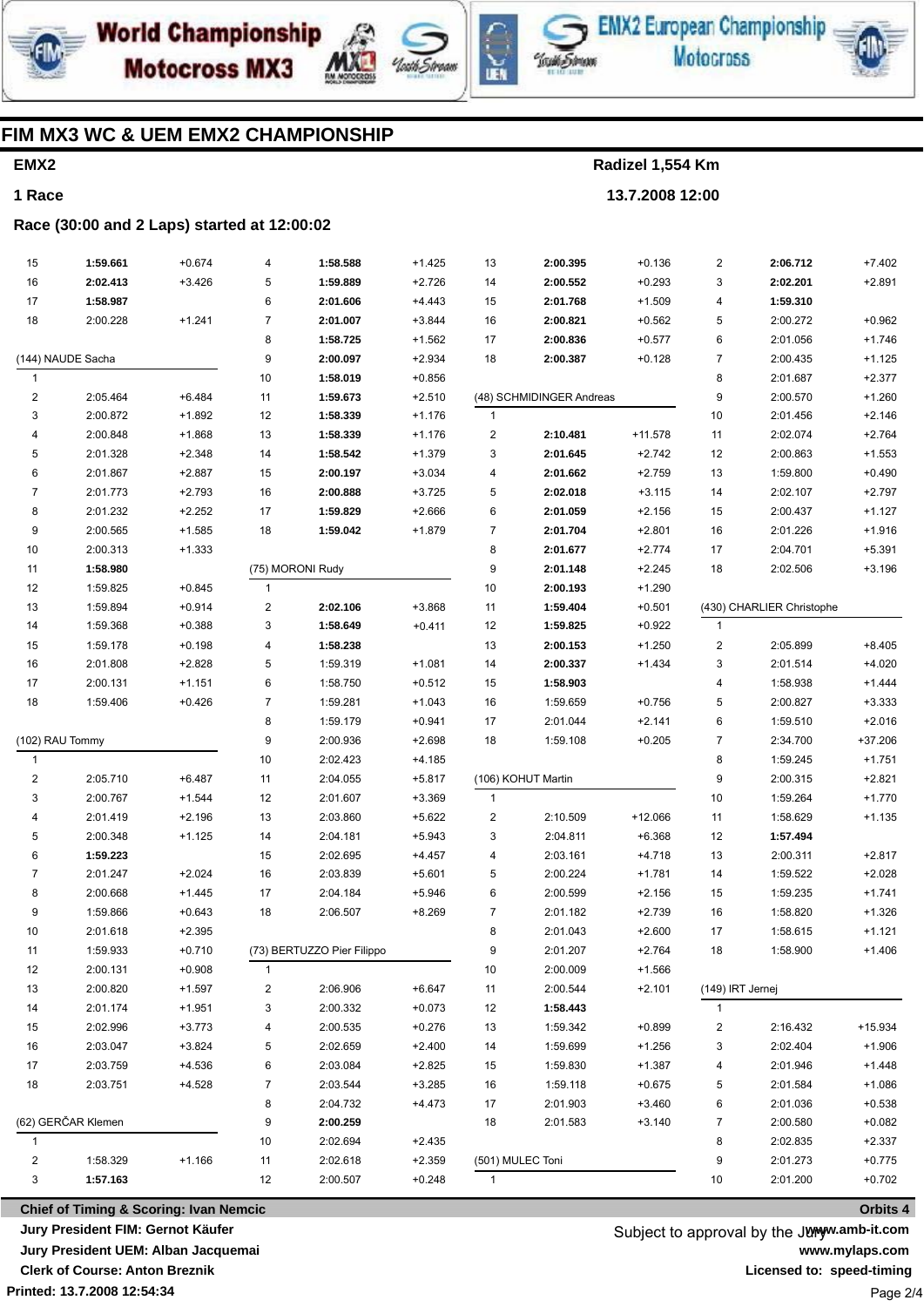





**EMX2 European Championship Motocross** 



### **FIM MX3 WC & UEM EMX2 CHAMPIONSHIP**

# **EMX2 1 Race**

#### **Race (30:00 and 2 Laps) started at 12:00:02**

| 15                      | 1:59.661             | $+0.674$ | 4                | 1:58.588                   | $+1.425$             | 13             | 2:00.395                 | $+0.136$  | $\boldsymbol{2}$ | 2:06.712                  | $+7.402$             |
|-------------------------|----------------------|----------|------------------|----------------------------|----------------------|----------------|--------------------------|-----------|------------------|---------------------------|----------------------|
| $16\,$                  | 2:02.413             | $+3.426$ | 5                | 1:59.889                   | $+2.726$             | 14             | 2:00.552                 | $+0.293$  | 3                | 2:02.201                  | $+2.891$             |
| 17                      | 1:58.987             |          | 6                | 2:01.606                   | $+4.443$             | 15             | 2:01.768                 | $+1.509$  | 4                | 1:59.310                  |                      |
| 18                      | 2:00.228             | $+1.241$ | $\overline{7}$   | 2:01.007                   | $+3.844$             | 16             | 2:00.821                 | $+0.562$  | 5                | 2:00.272                  | $+0.962$             |
|                         |                      |          | 8                | 1:58.725                   | $+1.562$             | 17             | 2:00.836                 | $+0.577$  | 6                | 2:01.056                  | $+1.746$             |
|                         | (144) NAUDE Sacha    |          | 9                | 2:00.097                   | $+2.934$             | 18             | 2:00.387                 | $+0.128$  | $\boldsymbol{7}$ | 2:00.435                  | $+1.125$             |
| $\mathbf{1}$            |                      |          | 10               | 1:58.019                   | $+0.856$             |                |                          |           | 8                | 2:01.687                  | $+2.377$             |
| $\overline{c}$          | 2:05.464             | $+6.484$ | 11               | 1:59.673                   | $+2.510$             |                | (48) SCHMIDINGER Andreas |           | 9                | 2:00.570                  | $+1.260$             |
| 3                       | 2:00.872             | $+1.892$ | 12               | 1:58.339                   | $+1.176$             | $\mathbf{1}$   |                          |           | 10               | 2:01.456                  | $+2.146$             |
| 4                       | 2:00.848             | $+1.868$ | 13               | 1:58.339                   | $+1.176$             | 2              | 2:10.481                 | $+11.578$ | 11               | 2:02.074                  | $+2.764$             |
| 5                       | 2:01.328             | $+2.348$ | 14               | 1:58.542                   | $+1.379$             | 3              | 2:01.645                 | $+2.742$  | 12               | 2:00.863                  | $+1.553$             |
| 6                       | 2:01.867             | $+2.887$ | 15               | 2:00.197                   | $+3.034$             | 4              | 2:01.662                 | $+2.759$  | 13               | 1:59.800                  | $+0.490$             |
| $\overline{7}$          | 2:01.773             | $+2.793$ | 16               | 2:00.888                   | $+3.725$             | 5              | 2:02.018                 | $+3.115$  | 14               | 2:02.107                  | $+2.797$             |
| 8                       | 2:01.232             | $+2.252$ | 17               | 1:59.829                   | $+2.666$             | 6              | 2:01.059                 | $+2.156$  | 15               | 2:00.437                  | $+1.127$             |
| 9                       | 2:00.565             | $+1.585$ | 18               | 1:59.042                   | $+1.879$             | $\overline{7}$ | 2:01.704                 | $+2.801$  | 16               | 2:01.226                  | $+1.916$             |
| 10                      | 2:00.313             | $+1.333$ |                  |                            |                      | 8              | 2:01.677                 | $+2.774$  | 17               | 2:04.701                  | $+5.391$             |
| 11                      | 1:58.980             |          |                  | (75) MORONI Rudy           |                      | 9              | 2:01.148                 | $+2.245$  | 18               | 2:02.506                  | $+3.196$             |
| 12                      | 1:59.825             | $+0.845$ | $\mathbf{1}$     |                            |                      | 10             | 2:00.193                 | $+1.290$  |                  |                           |                      |
| 13                      |                      |          |                  |                            |                      |                |                          |           |                  | (430) CHARLIER Christophe |                      |
|                         | 1:59.894             | $+0.914$ | $\boldsymbol{2}$ | 2:02.106                   | $+3.868$             | 11             | 1:59.404                 | $+0.501$  |                  |                           |                      |
| 14                      | 1:59.368             | $+0.388$ | 3                | 1:58.649                   | $+0.411$             | 12             | 1:59.825                 | $+0.922$  | $\mathbf{1}$     |                           |                      |
| 15                      | 1:59.178             | $+0.198$ | 4                | 1:58.238                   |                      | 13             | 2:00.153                 | $+1.250$  | $\boldsymbol{2}$ | 2:05.899                  | $+8.405$             |
| 16                      | 2:01.808             | $+2.828$ | 5                | 1:59.319                   | $+1.081$             | 14             | 2:00.337                 | $+1.434$  | 3                | 2:01.514                  | $+4.020$             |
| 17                      | 2:00.131             | $+1.151$ | 6                | 1:58.750                   | $+0.512$             | 15             | 1:58.903                 |           | 4                | 1:58.938                  | $+1.444$             |
| 18                      | 1:59.406             | $+0.426$ | $\overline{7}$   | 1:59.281                   | $+1.043$             | 16             | 1:59.659                 | $+0.756$  | 5                | 2:00.827                  | $+3.333$             |
|                         |                      |          | 8                | 1:59.179                   | $+0.941$             | 17             | 2:01.044                 | $+2.141$  | 6                | 1:59.510                  | $+2.016$             |
| (102) RAU Tommy         |                      |          | 9                | 2:00.936                   | $+2.698$             | 18             | 1:59.108                 | $+0.205$  | $\boldsymbol{7}$ | 2:34.700                  | $+37.206$            |
| $\mathbf{1}$            |                      |          | 10               | 2:02.423                   | $+4.185$             |                |                          |           | 8                | 1:59.245                  | $+1.751$             |
| $\overline{\mathbf{c}}$ | 2:05.710             | $+6.487$ | 11               | 2:04.055                   | $+5.817$             |                | (106) KOHUT Martin       |           | 9                | 2:00.315                  | $+2.821$             |
| 3                       | 2:00.767             | $+1.544$ | 12               | 2:01.607                   | $+3.369$             | $\mathbf{1}$   |                          |           | $10$             | 1:59.264                  | $+1.770$             |
| 4                       | 2:01.419             | $+2.196$ | 13               | 2:03.860                   | $+5.622$             | 2              | 2:10.509                 | $+12.066$ | 11               | 1:58.629                  | $+1.135$             |
| 5                       | 2:00.348             | $+1.125$ | 14               | 2:04.181                   | $+5.943$             | 3              | 2:04.811                 | $+6.368$  | 12               | 1:57.494                  |                      |
| 6                       | 1:59.223             |          | 15               | 2:02.695                   | $+4.457$             | 4              | 2:03.161                 | $+4.718$  | 13               | 2:00.311                  | $+2.817$             |
| 7                       | 2:01.247             | $+2.024$ | 16               | 2:03.839                   | $+5.601$             | 5              | 2:00.224                 | $+1.781$  | 14               | 1:59.522                  | $+2.028$             |
| 8                       | 2:00.668             | $+1.445$ | 17               | 2:04.184                   | $+5.946$             | 6              | 2:00.599                 | $+2.156$  | 15               | 1:59.235                  | $+1.741$             |
| 9                       | 1:59.866             | $+0.643$ | 18               | 2:06.507                   | $+8.269$             | $\overline{7}$ | 2:01.182                 | $+2.739$  | 16               | 1:58.820                  | $+1.326$             |
| 10                      | 2:01.618             | $+2.395$ |                  |                            |                      | 8              | 2:01.043                 | $+2.600$  | 17               | 1:58.615                  | $+1.121$             |
| 11                      | 1:59.933             | $+0.710$ |                  | (73) BERTUZZO Pier Filippo |                      | 9              | 2:01.207                 | $+2.764$  | 18               | 1:58.900                  | $+1.406$             |
| 12                      | 2:00.131             | $+0.908$ | 1                |                            |                      | 10             | 2:00.009                 | $+1.566$  |                  |                           |                      |
| 13                      | 2:00.820             | $+1.597$ | 2                | 2:06.906                   | $+6.647$             | 11             | 2:00.544                 | $+2.101$  | (149) IRT Jernej |                           |                      |
| 14                      | 2:01.174             | $+1.951$ | 3                | 2:00.332                   | $+0.073$             | 12             | 1:58.443                 |           | $\mathbf{1}$     |                           |                      |
| 15                      | 2:02.996             | $+3.773$ | 4                | 2:00.535                   | $+0.276$             | 13             | 1:59.342                 | $+0.899$  | 2                | 2:16.432                  | $+15.934$            |
| 16                      | 2:03.047             | $+3.824$ | 5                | 2:02.659                   | $+2.400$             | 14             | 1:59.699                 | $+1.256$  | 3                | 2:02.404                  | $+1.906$             |
| 17                      | 2:03.759             | $+4.536$ | 6                | 2:03.084                   | $+2.825$             | 15             | 1:59.830                 | $+1.387$  | 4                | 2:01.946                  | $+1.448$             |
| 18                      | 2:03.751             | $+4.528$ | 7                | 2:03.544                   | $+3.285$             | 16             | 1:59.118                 | $+0.675$  | 5                | 2:01.584                  | $+1.086$             |
|                         |                      |          | 8                | 2:04.732                   | $+4.473$             | 17             | 2:01.903                 | $+3.460$  | 6                | 2:01.036                  | $+0.538$             |
|                         | (62) GERČAR Klemen   |          | 9                | 2:00.259                   |                      | 18             | 2:01.583                 | $+3.140$  | 7                | 2:00.580                  | $+0.082$             |
| 1                       |                      |          | 10               | 2:02.694                   | $+2.435$             |                |                          |           | 8                | 2:02.835                  | $+2.337$             |
| $\overline{\mathbf{c}}$ |                      |          |                  |                            |                      |                |                          |           |                  |                           |                      |
|                         |                      |          |                  |                            |                      |                |                          |           |                  |                           |                      |
| 3                       | 1:58.329<br>1:57.163 | $+1.166$ | 11<br>12         | 2:02.618<br>2:00.507       | $+2.359$<br>$+0.248$ | $\mathbf{1}$   | (501) MULEC Toni         |           | 9<br>10          | 2:01.273<br>2:01.200      | $+0.775$<br>$+0.702$ |

**Printed: 13.7.2008 12:54:34 Chief of Timing & Scoring: Ivan Nemcic Jury President FIM: Gernot Käufer Jury President UEM: Alban Jacquemai Clerk of Course: Anton Breznik**

Subject to approval by the Juryw.amb-it.com **www.mylaps.com Licensed to: speed-timing** Page 2/4

#### **Orbits 4**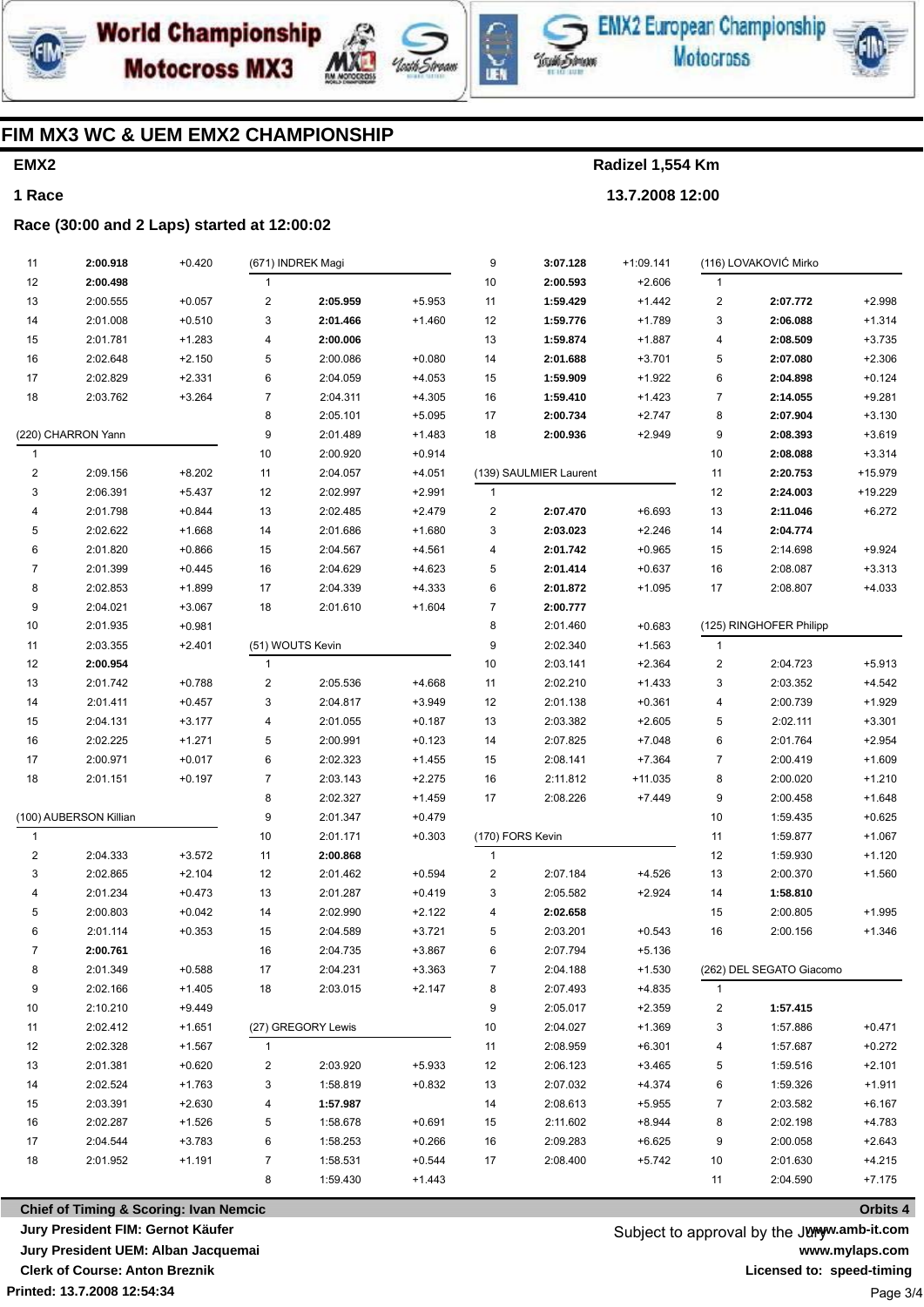





EMX2 European Championship **Motocross** 



### **FIM MX3 WC & UEM EMX2 CHAMPIONSHIP**

# **EMX2 1 Race**

**Radizel 1,554 Km 13.7.2008 12:00**

#### **Race (30:00 and 2 Laps) started at 12:00:02**

| 11             | 2:00.918                                          | $+0.420$ |                | (671) INDREK Magi  |          | 9                       | 3:07.128               | $+1:09.141$ |                         | (116) LOVAKOVIĆ Mirko    |          |
|----------------|---------------------------------------------------|----------|----------------|--------------------|----------|-------------------------|------------------------|-------------|-------------------------|--------------------------|----------|
| 12             | 2:00.498                                          |          | $\mathbf{1}$   |                    |          | 10                      | 2:00.593               | $+2.606$    | 1                       |                          |          |
| 13             | 2:00.555                                          | $+0.057$ | $\overline{c}$ | 2:05.959           | $+5.953$ | 11                      | 1:59.429               | $+1.442$    | $\overline{\mathbf{c}}$ | 2:07.772                 | $+2.998$ |
| 14             | 2:01.008                                          | $+0.510$ | 3              | 2:01.466           | $+1.460$ | 12                      | 1:59.776               | $+1.789$    | 3                       | 2:06.088                 | $+1.314$ |
| 15             | 2:01.781                                          | $+1.283$ | 4              | 2:00.006           |          | 13                      | 1:59.874               | $+1.887$    | 4                       | 2:08.509                 | $+3.735$ |
| 16             | 2:02.648                                          | $+2.150$ | 5              | 2:00.086           | $+0.080$ | 14                      | 2:01.688               | $+3.701$    | 5                       | 2:07.080                 | $+2.306$ |
| 17             | 2:02.829                                          | $+2.331$ | 6              | 2:04.059           | $+4.053$ | 15                      | 1:59.909               | $+1.922$    | 6                       | 2:04.898                 | $+0.124$ |
| 18             | 2:03.762                                          | $+3.264$ | $\overline{7}$ | 2:04.311           | $+4.305$ | 16                      | 1:59.410               | $+1.423$    | $\overline{7}$          | 2:14.055                 | $+9.281$ |
|                |                                                   |          | 8              | 2:05.101           | $+5.095$ | 17                      | 2:00.734               | $+2.747$    | 8                       | 2:07.904                 | $+3.130$ |
|                | (220) CHARRON Yann                                |          | 9              | 2:01.489           | $+1.483$ | 18                      | 2:00.936               | $+2.949$    | 9                       | 2:08.393                 | $+3.619$ |
| $\mathbf{1}$   |                                                   |          | 10             | 2:00.920           | $+0.914$ |                         |                        |             | 10                      | 2:08.088                 | $+3.314$ |
| 2              | 2:09.156                                          | $+8.202$ | 11             | 2:04.057           | $+4.051$ |                         | (139) SAULMIER Laurent |             | 11                      | 2:20.753                 | +15.979  |
| 3              | 2:06.391                                          | $+5.437$ | 12             | 2:02.997           | $+2.991$ | $\mathbf{1}$            |                        |             | 12                      | 2:24.003                 | +19.229  |
| 4              | 2:01.798                                          | $+0.844$ | 13             | 2:02.485           | $+2.479$ | $\overline{\mathbf{c}}$ | 2:07.470               | $+6.693$    | 13                      | 2:11.046                 | $+6.272$ |
| 5              | 2:02.622                                          | $+1.668$ | 14             | 2:01.686           | $+1.680$ | 3                       | 2:03.023               | $+2.246$    | 14                      | 2:04.774                 |          |
| 6              | 2:01.820                                          | $+0.866$ | 15             | 2:04.567           | $+4.561$ | 4                       | 2:01.742               | $+0.965$    | 15                      | 2:14.698                 | $+9.924$ |
| 7              | 2:01.399                                          | $+0.445$ | 16             | 2:04.629           | $+4.623$ | 5                       | 2:01.414               | $+0.637$    | 16                      | 2:08.087                 | $+3.313$ |
| 8              | 2:02.853                                          | $+1.899$ | 17             | 2:04.339           | $+4.333$ | 6                       | 2:01.872               | $+1.095$    | 17                      | 2:08.807                 | $+4.033$ |
| 9              | 2:04.021                                          | $+3.067$ | 18             | 2:01.610           | $+1.604$ | $\overline{7}$          | 2:00.777               |             |                         |                          |          |
| 10             | 2:01.935                                          | $+0.981$ |                |                    |          | 8                       | 2:01.460               | $+0.683$    |                         | (125) RINGHOFER Philipp  |          |
| 11             | 2:03.355                                          | $+2.401$ |                | (51) WOUTS Kevin   |          | 9                       | 2:02.340               | $+1.563$    | $\overline{1}$          |                          |          |
| 12             | 2:00.954                                          |          | 1              |                    |          | 10                      | 2:03.141               | $+2.364$    | $\overline{\mathbf{c}}$ | 2:04.723                 | $+5.913$ |
| 13             | 2:01.742                                          | $+0.788$ | $\overline{c}$ | 2:05.536           | $+4.668$ | 11                      | 2:02.210               | $+1.433$    | 3                       | 2:03.352                 | $+4.542$ |
| 14             | 2:01.411                                          | $+0.457$ | 3              | 2:04.817           | $+3.949$ | 12                      | 2:01.138               | $+0.361$    | 4                       | 2:00.739                 | $+1.929$ |
| 15             | 2:04.131                                          | $+3.177$ | 4              | 2:01.055           | $+0.187$ | 13                      | 2:03.382               | $+2.605$    | 5                       | 2:02.111                 | $+3.301$ |
| 16             | 2:02.225                                          | $+1.271$ | 5              | 2:00.991           | $+0.123$ | 14                      | 2:07.825               | $+7.048$    | 6                       | 2:01.764                 | $+2.954$ |
| 17             | 2:00.971                                          | $+0.017$ | 6              | 2:02.323           | $+1.455$ | 15                      | 2:08.141               | $+7.364$    | $\overline{7}$          | 2:00.419                 | $+1.609$ |
| 18             | 2:01.151                                          | $+0.197$ | $\overline{7}$ | 2:03.143           | $+2.275$ | 16                      | 2:11.812               | $+11.035$   | 8                       | 2:00.020                 | $+1.210$ |
|                |                                                   |          | 8              | 2:02.327           | $+1.459$ | 17                      | 2:08.226               | $+7.449$    | 9                       | 2:00.458                 | $+1.648$ |
|                | (100) AUBERSON Killian                            |          | 9              | 2:01.347           | $+0.479$ |                         |                        |             | 10                      | 1:59.435                 | $+0.625$ |
| $\mathbf{1}$   |                                                   |          | 10             | 2:01.171           | $+0.303$ | (170) FORS Kevin        |                        |             | 11                      | 1:59.877                 | $+1.067$ |
| $\overline{2}$ | 2:04.333                                          | $+3.572$ | 11             | 2:00.868           |          | $\mathbf{1}$            |                        |             | 12                      | 1:59.930                 | $+1.120$ |
| 3              | 2:02.865                                          | $+2.104$ | 12             | 2:01.462           | $+0.594$ | $\overline{\mathbf{c}}$ | 2:07.184               | $+4.526$    | 13                      | 2:00.370                 | $+1.560$ |
| 4              | 2:01.234                                          | $+0.473$ | 13             | 2:01.287           | $+0.419$ | 3                       | 2:05.582               | $+2.924$    | 14                      | 1:58.810                 |          |
| 5              | 2:00.803                                          | $+0.042$ | 14             | 2:02.990           | $+2.122$ | 4                       | 2:02.658               |             | 15                      | 2:00.805                 | $+1.995$ |
| 6              | 2:01.114                                          | $+0.353$ | 15             | 2:04.589           | $+3.721$ | 5                       | 2:03.201               | $+0.543$    | 16                      | 2:00.156                 | $+1.346$ |
| $\overline{7}$ | 2:00.761                                          |          | 16             | 2:04.735           | $+3.867$ | 6                       | 2:07.794               | $+5.136$    |                         |                          |          |
| 8              | 2:01.349                                          | $+0.588$ | 17             | 2:04.231           | $+3.363$ | 7                       | 2:04.188               | $+1.530$    |                         | (262) DEL SEGATO Giacomo |          |
| 9              | 2:02.166                                          | $+1.405$ | 18             | 2:03.015           | $+2.147$ | 8                       | 2:07.493               | $+4.835$    | $\mathbf{1}$            |                          |          |
| 10             | 2:10.210                                          | $+9.449$ |                |                    |          | 9                       | 2:05.017               | $+2.359$    | 2                       | 1:57.415                 |          |
| 11             | 2:02.412                                          | $+1.651$ |                | (27) GREGORY Lewis |          | 10                      | 2:04.027               | $+1.369$    | 3                       | 1:57.886                 | $+0.471$ |
| 12             | 2:02.328                                          | $+1.567$ | 1              |                    |          | 11                      | 2:08.959               | $+6.301$    | 4                       | 1:57.687                 | $+0.272$ |
| 13             | 2:01.381                                          | $+0.620$ | $\overline{c}$ | 2:03.920           | $+5.933$ | 12                      | 2:06.123               | $+3.465$    | 5                       | 1:59.516                 | $+2.101$ |
| 14             | 2:02.524                                          | $+1.763$ | 3              | 1:58.819           | $+0.832$ | 13                      | 2:07.032               | $+4.374$    | 6                       | 1:59.326                 | $+1.911$ |
| 15             | 2:03.391                                          | $+2.630$ | 4              | 1:57.987           |          | 14                      | 2:08.613               | $+5.955$    | 7                       | 2:03.582                 | $+6.167$ |
| 16             | 2:02.287                                          | $+1.526$ | 5              | 1:58.678           | $+0.691$ | 15                      | 2:11.602               | $+8.944$    | 8                       | 2:02.198                 | $+4.783$ |
| 17             | 2:04.544                                          | $+3.783$ | 6              | 1:58.253           | $+0.266$ | 16                      | 2:09.283               | $+6.625$    | 9                       | 2:00.058                 | $+2.643$ |
| 18             | 2:01.952                                          | $+1.191$ | 7              | 1:58.531           | $+0.544$ | 17                      | 2:08.400               | $+5.742$    | 10                      | 2:01.630                 | $+4.215$ |
|                |                                                   |          | 8              | 1:59.430           | $+1.443$ |                         |                        |             | 11                      | 2:04.590                 | $+7.175$ |
|                | <b>Chief of Timing &amp; Scoring: Ivan Nemcic</b> |          |                |                    |          |                         |                        |             |                         |                          | Orbits 4 |

**Printed: 13.7.2008 12:54:34 Chief of Timing & Scoring: Ivan Nemcic Jury President FIM: Gernot Käufer Jury President UEM: Alban Jacquemai Clerk of Course: Anton Breznik**

Subject to approval by the Juryw.amb-it.com **www.mylaps.com Licensed to: speed-timing** Page 3/4